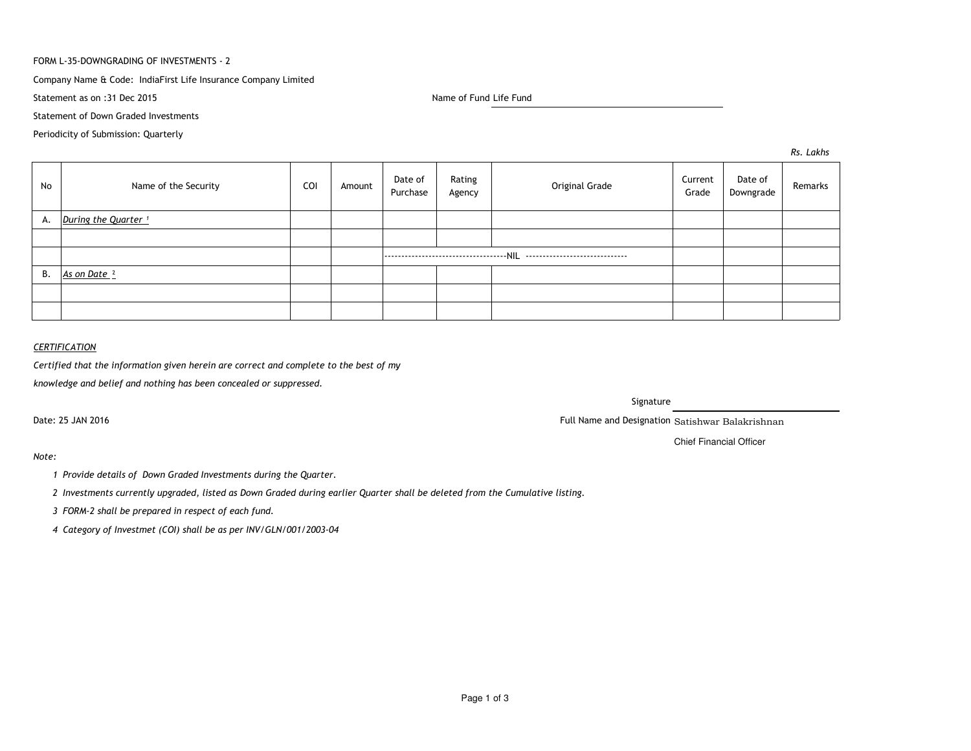### FORM L-35-DOWNGRADING OF INVESTMENTS - 2

# Company Name & Code: IndiaFirst Life Insurance Company Limited

Statement as on :31 Dec 2015

Name of Fund Life Fund

Statement of Down Graded Investments

Periodicity of Submission: Quarterly

*Rs. Lakhs*

| No | Name of the Security            | COI | Amount | Date of<br>Purchase | Rating<br>Agency | Original Grade | Current<br>Grade | Date of<br>Downgrade | Remarks |
|----|---------------------------------|-----|--------|---------------------|------------------|----------------|------------------|----------------------|---------|
| А. | During the Quarter <sup>1</sup> |     |        |                     |                  |                |                  |                      |         |
|    |                                 |     |        |                     |                  |                |                  |                      |         |
|    |                                 |     |        |                     |                  |                |                  |                      |         |
| В. | As on Date <sup>2</sup>         |     |        |                     |                  |                |                  |                      |         |
|    |                                 |     |        |                     |                  |                |                  |                      |         |
|    |                                 |     |        |                     |                  |                |                  |                      |         |

# *CERTIFICATION*

*Certified that the information given herein are correct and complete to the best of my*

*knowledge and belief and nothing has been concealed or suppressed.*

Date: 25 JAN 2016

Signature

Full Name and Designation Satishwar Balakrishnan

Chief Financial Officer

*Note:*

*<sup>1</sup> Provide details of Down Graded Investments during the Quarter.* 

*<sup>2</sup> Investments currently upgraded, listed as Down Graded during earlier Quarter shall be deleted from the Cumulative listing.*

*<sup>3</sup> FORM-2 shall be prepared in respect of each fund.*

*<sup>4</sup> Category of Investmet (COI) shall be as per INV/GLN/001/2003-04*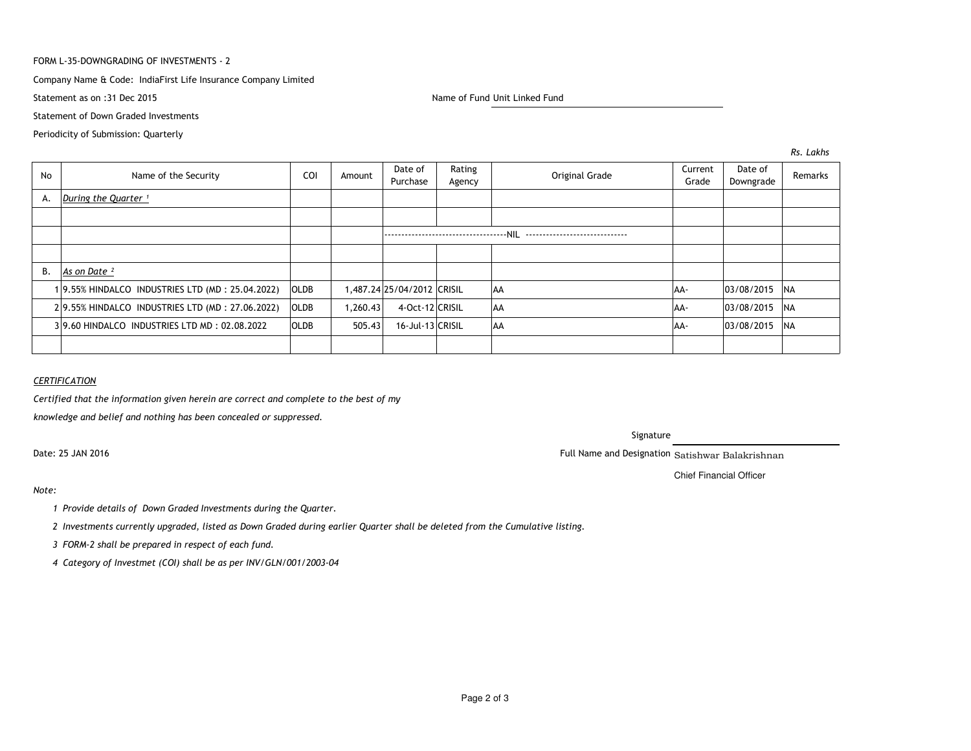### FORM L-35-DOWNGRADING OF INVESTMENTS - 2

### Company Name & Code: IndiaFirst Life Insurance Company Limited

Statement as on :31 Dec 2015

Name of Fund Unit Linked Fund

Statement of Down Graded Investments

Periodicity of Submission: Quarterly

*Rs. Lakhs*

| No | Name of the Security                            | COI         | Amount   | Date of<br>Purchase        | Rating<br>Agency | Original Grade | Current<br>Grade | Date of<br>Downgrade | Remarks   |
|----|-------------------------------------------------|-------------|----------|----------------------------|------------------|----------------|------------------|----------------------|-----------|
| А. | During the Quarter <sup>1</sup>                 |             |          |                            |                  |                |                  |                      |           |
|    |                                                 |             |          |                            |                  |                |                  |                      |           |
|    |                                                 |             |          |                            |                  |                |                  |                      |           |
|    |                                                 |             |          |                            |                  |                |                  |                      |           |
| В. | As on Date <sup>2</sup>                         |             |          |                            |                  |                |                  |                      |           |
|    | 19.55% HINDALCO INDUSTRIES LTD (MD: 25.04.2022) | <b>OLDB</b> |          | 1,487.24 25/04/2012 CRISIL |                  | AA             | AA-              | 03/08/2015 NA        |           |
|    | 29.55% HINDALCO INDUSTRIES LTD (MD: 27.06.2022) | OLDB        | 1,260.43 | 4-Oct-12 CRISIL            |                  | <b>AA</b>      | AA-              | 03/08/2015 NA        |           |
|    | 39.60 HINDALCO INDUSTRIES LTD MD: 02.08.2022    | <b>OLDB</b> | 505.43   | 16-Jul-13 CRISIL           |                  | <b>AA</b>      | AA-              | 03/08/2015           | <b>NA</b> |
|    |                                                 |             |          |                            |                  |                |                  |                      |           |

## *CERTIFICATION*

*Certified that the information given herein are correct and complete to the best of my*

*knowledge and belief and nothing has been concealed or suppressed.*

Date: 25 JAN 2016

Signature

Full Name and Designation Satishwar Balakrishnan

Chief Financial Officer

## *Note:*

*<sup>1</sup> Provide details of Down Graded Investments during the Quarter.* 

*<sup>2</sup> Investments currently upgraded, listed as Down Graded during earlier Quarter shall be deleted from the Cumulative listing.*

*<sup>3</sup> FORM-2 shall be prepared in respect of each fund.*

*<sup>4</sup> Category of Investmet (COI) shall be as per INV/GLN/001/2003-04*